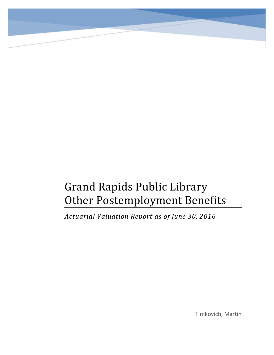# Grand Rapids Public Library Other Postemployment Benefits

*Actuarial Valuation Report as of June 30, 2016*

Timkovich, Martin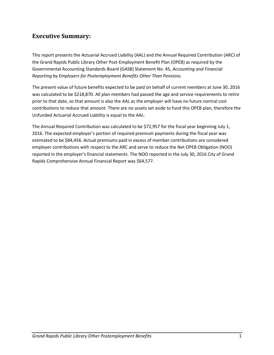# **Executive Summary:**

This report presents the Actuarial Accrued Liability (AAL) and the Annual Required Contribution (ARC) of the Grand Rapids Public Library Other Post-Employment Benefit Plan (OPEB) as required by the Governmental Accounting Standards Board (GASB) Statement No. 45, *Accounting and Financial Reporting by Employers for Postemployment Benefits Other Than Pensions*.

The present value of future benefits expected to be paid on behalf of current members at June 30, 2016 was calculated to be \$218,870. All plan members had passed the age and service requirements to retire prior to that date, so that amount is also the AAL as the employer will have no future normal cost contributions to reduce that amount. There are no assets set aside to fund this OPEB plan, therefore the Unfunded Actuarial Accrued Liability is equal to the AAL.

The Annual Required Contribution was calculated to be \$72,957 for the fiscal year beginning July 1, 2016. The expected employer's portion of required premium payments during the fiscal year was estimated to be \$84,456. Actual premiums paid in excess of member contributions are considered employer contributions with respect to the ARC and serve to reduce the Net OPEB Obligation (NOO) reported in the employer's financial statements. The NOO reported in the July 30, 2016 City of Grand Rapids Comprehensive Annual Financial Report was \$64,577.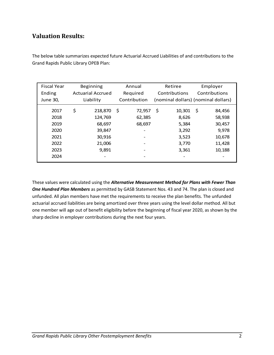# **Valuation Results:**

| <b>Fiscal Year</b><br>Ending | Beginning<br><b>Actuarial Accrued</b> | Annual<br>Required | Retiree<br>Contributions            | Employer<br>Contributions |
|------------------------------|---------------------------------------|--------------------|-------------------------------------|---------------------------|
| June 30,                     | Liability                             | Contribution       | (nominal dollars) (nominal dollars) |                           |
| 2017                         | \$<br>218,870                         | \$<br>72,957       | \$<br>10,301                        | \$<br>84,456              |
| 2018                         | 124,769                               | 62,385             | 8,626                               | 58,938                    |
| 2019                         | 68,697                                | 68,697             | 5,384                               | 30,457                    |
| 2020                         | 39,847                                |                    | 3,292                               | 9,978                     |
| 2021                         | 30,916                                |                    | 3,523                               | 10,678                    |
| 2022                         | 21,006                                |                    | 3,770                               | 11,428                    |
| 2023                         | 9,891                                 |                    | 3,361                               | 10,188                    |
| 2024                         |                                       |                    |                                     |                           |

The below table summarizes expected future Actuarial Accrued Liabilities of and contributions to the Grand Rapids Public Library OPEB Plan:

These values were calculated using the *Alternative Measurement Method for Plans with Fewer Than One Hundred Plan Members* as permitted by GASB Statement Nos. 43 and 74. The plan is closed and unfunded. All plan members have met the requirements to receive the plan benefits. The unfunded actuarial accrued liabilities are being amortized over three years using the level dollar method. All but one member will age out of benefit eligibility before the beginning of fiscal year 2020, as shown by the sharp decline in employer contributions during the next four years.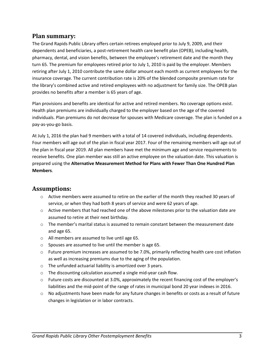#### **Plan summary:**

The Grand Rapids Public Library offers certain retirees employed prior to July 9, 2009, and their dependents and beneficiaries, a post-retirement health care benefit plan (OPEB), including health, pharmacy, dental, and vision benefits, between the employee's retirement date and the month they turn 65. The premium for employees retired prior to July 1, 2010 is paid by the employer. Members retiring after July 1, 2010 contribute the same dollar amount each month as current employees for the insurance coverage. The current contribution rate is 20% of the blended composite premium rate for the library's combined active and retired employees with no adjustment for family size. The OPEB plan provides no benefits after a member is 65 years of age.

Plan provisions and benefits are identical for active and retired members. No coverage options exist. Health plan premiums are individually charged to the employer based on the age of the covered individuals. Plan premiums do not decrease for spouses with Medicare coverage. The plan is funded on a pay-as-you-go basis.

At July 1, 2016 the plan had 9 members with a total of 14 covered individuals, including dependents. Four members will age out of the plan in fiscal year 2017. Four of the remaining members will age out of the plan in fiscal year 2019. All plan members have met the minimum age and service requirements to receive benefits. One plan member was still an active employee on the valuation date. This valuation is prepared using the **Alternative Measurement Method for Plans with Fewer Than One Hundred Plan Members**.

### **Assumptions:**

- o Active members were assumed to retire on the earlier of the month they reached 30 years of service, or when they had both 8 years of service and were 62 years of age.
- $\circ$  Active members that had reached one of the above milestones prior to the valuation date are assumed to retire at their next birthday.
- $\circ$  The member's marital status is assumed to remain constant between the measurement date and age 65.
- o All members are assumed to live until age 65.
- o Spouses are assumed to live until the member is age 65.
- $\circ$  Future premium increases are assumed to be 7.0%, primarily reflecting health care cost inflation as well as increasing premiums due to the aging of the population.
- o The unfunded actuarial liability is amortized over 3 years.
- o The discounting calculation assumed a single mid-year cash flow.
- o Future costs are discounted at 3.0%, approximately the recent financing cost of the employer's liabilities and the mid-point of the range of rates in municipal bond 20 year indexes in 2016.
- $\circ$  No adjustments have been made for any future changes in benefits or costs as a result of future changes in legislation or in labor contracts.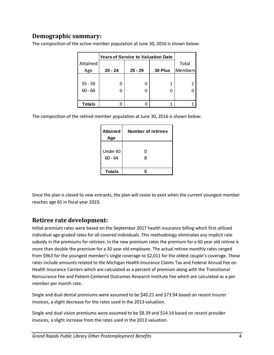## **Demographic summary:**

|               | <b>Years of Service to Valuation Date</b> |           |         |         |
|---------------|-------------------------------------------|-----------|---------|---------|
| Attained      |                                           |           |         | Total   |
| Age           | $20 - 24$                                 | $25 - 29$ | 30 Plus | Members |
|               |                                           |           |         |         |
| $55 - 59$     | O                                         |           |         |         |
| $60 - 64$     | 0                                         |           |         |         |
|               |                                           |           |         |         |
| <b>Totals</b> |                                           |           |         |         |

The composition of the active member population at June 30, 2016 is shown below:

The composition of the retired member population at June 30, 2016 is shown below:

| <b>Attained</b><br>Age | <b>Number of retirees</b> |
|------------------------|---------------------------|
|                        |                           |
| Under 60               | 0                         |
| $60 - 64$              | 8                         |
|                        |                           |
| <b>Totals</b>          |                           |

Since the plan is closed to new entrants, the plan will cease to exist when the current youngest member reaches age 65 in fiscal year 2023.

### **Retiree rate development:**

Initial premium rates were based on the September 2017 health insurance billing which first utilized individual age-graded rates for all covered individuals. This methodology eliminates any implicit rate subsidy in the premiums for retirees. In the new premium rates the premium for a 60 year old retiree is more than double the premium for a 30 year old employee. The actual retiree monthly rates ranged from \$963 for the youngest member's single coverage to \$2,011 for the oldest couple's coverage. These rates include amounts related to the Michigan Health Insurance Claims Tax and Federal Annual Fee on Health Insurance Carriers which are calculated as a percent of premium along with the Transitional Reinsurance Fee and Patient-Centered Outcomes Research Institute Fee which are calculated as a per member per month rate.

Single and dual dental premiums were assumed to be \$40.21 and \$73.94 based on recent insurer invoices, a slight decrease for the rates used in the 2013 valuation.

Single and dual vision premiums were assumed to be \$8.39 and \$14.14 based on recent provider invoices, a slight increase from the rates used in the 2013 valuation.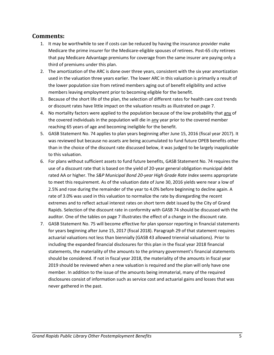#### **Comments:**

- 1. It may be worthwhile to see if costs can be reduced by having the insurance provider make Medicare the prime insurer for the Medicare-eligible spouses of retirees. Post-65 city retirees that pay Medicare Advantage premiums for coverage from the same insurer are paying only a third of premiums under this plan.
- 2. The amortization of the ARC is done over three years, consistent with the six year amortization used in the valuation three years earlier. The lower ARC in this valuation is primarily a result of the lower population size from retired members aging out of benefit eligibility and active members leaving employment prior to becoming eligible for the benefit.
- 3. Because of the short life of the plan, the selection of different rates for health care cost trends or discount rates have little impact on the valuation results as illustrated on page 7.
- 4. No mortality factors were applied to the population because of the low probability that any of the covered individuals in the population will die in any year prior to the covered member reaching 65 years of age and becoming ineligible for the benefit.
- 5. GASB Statement No. 74 applies to plan years beginning after June 15, 2016 (fiscal year 2017). It was reviewed but because no assets are being accumulated to fund future OPEB benefits other than in the choice of the discount rate discussed below, it was judged to be largely inapplicable to this valuation.
- 6. For plans without sufficient assets to fund future benefits, GASB Statement No. 74 requires the use of a discount rate that is based on the yield of 20-year general obligation municipal debt rated AA or higher. The *S&P Municipal Bond 20-year High Grade Rate Index* seems appropriate to meet this requirement. As of the valuation date of June 30, 2016 yields were near a low of 2.5% and rose during the remainder of the year to 4.0% before beginning to decline again. A rate of 3.0% was used in this valuation to normalize the rate by disregarding the recent extremes and to reflect actual interest rates on short term debt issued by the City of Grand Rapids. Selection of the discount rate in conformity with GASB 74 should be discussed with the auditor. One of the tables on page 7 illustrates the effect of a change in the discount rate.
- 7. GASB Statement No. 75 will become effective for plan sponsor reporting in financial statements for years beginning after June 15, 2017 (fiscal 2018). Paragraph 29 of that statement requires actuarial valuations not less than biennially (GASB 43 allowed triennial valuations). Prior to including the expanded financial disclosures for this plan in the fiscal year 2018 financial statements, the materiality of the amounts to the primary government's financial statements should be considered. If not in fiscal year 2018, the materiality of the amounts in fiscal year 2019 should be reviewed when a new valuation is required and the plan will only have one member. In addition to the issue of the amounts being immaterial, many of the required disclosures consist of information such as service cost and actuarial gains and losses that was never gathered in the past.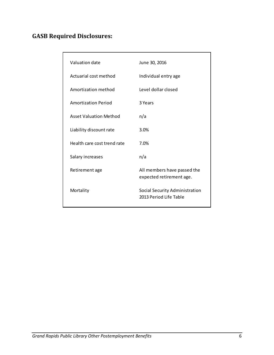# **GASB Required Disclosures:**

| Valuation date                | June 30, 2016                                            |
|-------------------------------|----------------------------------------------------------|
| Actuarial cost method         | Individual entry age                                     |
| Amortization method           | Level dollar closed                                      |
| <b>Amortization Period</b>    | 3 Years                                                  |
| <b>Asset Valuation Method</b> | n/a                                                      |
| Liability discount rate       | 3.0%                                                     |
| Health care cost trend rate   | 7.0%                                                     |
| Salary increases              | n/a                                                      |
| Retirement age                | All members have passed the<br>expected retirement age.  |
| Mortality                     | Social Security Administration<br>2013 Period Life Table |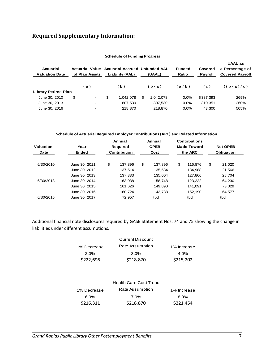# **Required Supplementary Information:**

| <b>Actuarial</b><br><b>Valuation Date</b> | <b>Actuarial Value</b><br>of Plan Assets | <b>Actuarial Accrued Unfunded AAL</b><br>Liability (AAL) | (UAAL)          | <b>Funded</b><br>Ratio | Covered<br>Payroll | <b>UAAL as</b><br>a Percentage of<br><b>Covered Payroll</b> |
|-------------------------------------------|------------------------------------------|----------------------------------------------------------|-----------------|------------------------|--------------------|-------------------------------------------------------------|
|                                           | (a)                                      | (b)                                                      | $(b - a)$       | (a/b)                  | (c)                | $((b-a)/c)$                                                 |
| <b>Library Retiree Plan</b>               |                                          |                                                          |                 |                        |                    |                                                             |
| June 30, 2010                             | \$<br>$\overline{\phantom{a}}$           | \$<br>1.042.078                                          | \$<br>1.042.078 | 0.0%                   | \$387,393          | 269%                                                        |
| June 30, 2013                             | $\overline{\phantom{a}}$                 | 807.530                                                  | 807,530         | $0.0\%$                | 310.351            | 260%                                                        |
| June 30, 2016                             | $\overline{\phantom{a}}$                 | 218,870                                                  | 218,870         | $0.0\%$                | 43.300             | 505%                                                        |

#### **Schedule of Funding Progress**

#### **Schedule of Actuarial Required Employer Contributions (ARC) and Related Information**

|           |               |    | Annual              |    | Annual      |    | <b>Contributions</b> |            |                 |
|-----------|---------------|----|---------------------|----|-------------|----|----------------------|------------|-----------------|
| Valuation | Year          |    | <b>Required</b>     |    | <b>OPEB</b> |    | <b>Made Toward</b>   |            | <b>Net OPEB</b> |
| Date      | Ended         |    | <b>Contribution</b> |    | Cost        |    | the ARC              | Obligation |                 |
|           |               |    |                     |    |             |    |                      |            |                 |
| 6/30/2010 | June 30, 2011 | \$ | 137.896             | \$ | 137.896     | \$ | 116.876              | \$         | 21.020          |
|           | June 30, 2012 |    | 137,514             |    | 135,534     |    | 134,988              |            | 21,566          |
|           | June 30, 2013 |    | 137.333             |    | 135.004     |    | 127.866              |            | 28.704          |
| 6/30/2013 | June 30, 2014 |    | 163.038             |    | 158.748     |    | 123.222              |            | 64.230          |
|           | June 30, 2015 |    | 161.626             |    | 149.890     |    | 141.091              |            | 73.029          |
|           | June 30, 2016 |    | 160.724             |    | 143.738     |    | 152,190              |            | 64.577          |
| 6/30/2016 | June 30, 2017 |    | 72.957              |    | tbd         |    | tbd                  |            | tbd             |
|           |               |    |                     |    |             |    |                      |            |                 |

Additional financial note disclosures required by GASB Statement Nos. 74 and 75 showing the change in liabilities under different assumptions.

|             | <b>Current Discount</b> |             |  |  |  |  |
|-------------|-------------------------|-------------|--|--|--|--|
| 1% Decrease | Rate Assumption         | 1% Increase |  |  |  |  |
| 2.0%        | $3.0\%$                 | $4.0\%$     |  |  |  |  |
| \$222,696   | \$218,870               | \$215,202   |  |  |  |  |

| <b>Health Care Cost Trend</b> |                 |             |  |  |  |  |
|-------------------------------|-----------------|-------------|--|--|--|--|
| 1% Decrease                   | Rate Assumption | 1% Increase |  |  |  |  |
| $6.0\%$                       | 7.0%            | $8.0\%$     |  |  |  |  |
| \$216,311                     | \$218,870       | \$221,454   |  |  |  |  |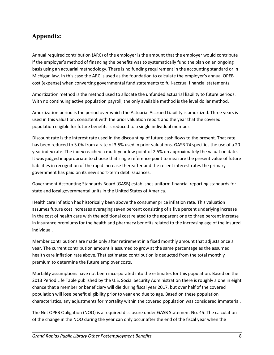# **Appendix:**

Annual required contribution (ARC) of the employer is the amount that the employer would contribute if the employer's method of financing the benefits was to systematically fund the plan on an ongoing basis using an actuarial methodology. There is no funding requirement in the accounting standard or in Michigan law. In this case the ARC is used as the foundation to calculate the employer's annual OPEB cost (expense) when converting governmental fund statements to full-accrual financial statements.

Amortization method is the method used to allocate the unfunded actuarial liability to future periods. With no continuing active population payroll, the only available method is the level dollar method.

Amortization period is the period over which the Actuarial Accrued Liability is amortized. Three years is used in this valuation, consistent with the prior valuation report and the year that the covered population eligible for future benefits is reduced to a single individual member.

Discount rate is the interest rate used in the discounting of future cash flows to the present. That rate has been reduced to 3.0% from a rate of 3.5% used in prior valuations. GASB 74 specifies the use of a 20 year index rate. The index reached a multi-year low point of 2.5% on approximately the valuation date. It was judged inappropriate to choose that single reference point to measure the present value of future liabilities in recognition of the rapid increase thereafter and the recent interest rates the primary government has paid on its new short-term debt issuances.

Government Accounting Standards Board (GASB) establishes uniform financial reporting standards for state and local governmental units in the United States of America.

Health care inflation has historically been above the consumer price inflation rate. This valuation assumes future cost increases averaging seven percent consisting of a five percent underlying increase in the cost of health care with the additional cost related to the apparent one to three percent increase in insurance premiums for the health and pharmacy benefits related to the increasing age of the insured individual.

Member contributions are made only after retirement in a fixed monthly amount that adjusts once a year. The current contribution amount is assumed to grow at the same percentage as the assumed health care inflation rate above. That estimated contribution is deducted from the total monthly premium to determine the future employer costs.

Mortality assumptions have not been incorporated into the estimates for this population. Based on the 2013 Period Life Table published by the U.S. Social Security Administration there is roughly a one in eight chance that a member or beneficiary will die during fiscal year 2017, but over half of the covered population will lose benefit eligibility prior to year end due to age. Based on these population characteristics, any adjustments for mortality within the covered population was considered immaterial.

The Net OPEB Obligation (NOO) is a required disclosure under GASB Statement No. 45. The calculation of the change in the NOO during the year can only occur after the end of the fiscal year when the